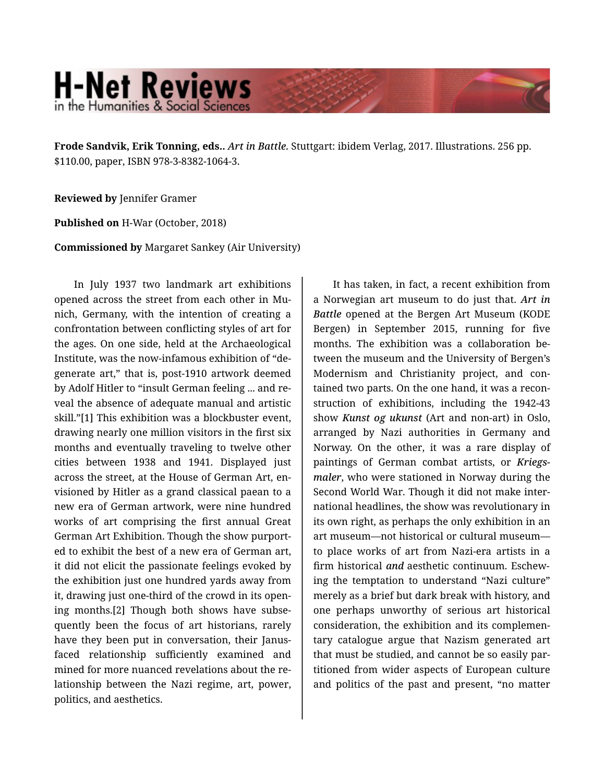## **H-Net Reviews** in the Humanities & Social Science

**Frode Sandvik, Erik Tonning, eds..** *Art in Battle.* Stuttgart: ibidem Verlag, 2017. Illustrations. 256 pp. \$110.00, paper, ISBN 978-3-8382-1064-3.

**Reviewed by** Jennifer Gramer

**Published on** H-War (October, 2018)

**Commissioned by** Margaret Sankey (Air University)

In July 1937 two landmark art exhibitions opened across the street from each other in Mu‐ nich, Germany, with the intention of creating a confrontation between conflicting styles of art for the ages. On one side, held at the Archaeological Institute, was the now-infamous exhibition of "de‐ generate art," that is, post-1910 artwork deemed by Adolf Hitler to "insult German feeling ... and re‐ veal the absence of adequate manual and artistic skill."[1] This exhibition was a blockbuster event, drawing nearly one million visitors in the first six months and eventually traveling to twelve other cities between 1938 and 1941. Displayed just across the street, at the House of German Art, en‐ visioned by Hitler as a grand classical paean to a new era of German artwork, were nine hundred works of art comprising the first annual Great German Art Exhibition. Though the show purport‐ ed to exhibit the best of a new era of German art, it did not elicit the passionate feelings evoked by the exhibition just one hundred yards away from it, drawing just one-third of the crowd in its open‐ ing months.<sup>[2]</sup> Though both shows have subsequently been the focus of art historians, rarely have they been put in conversation, their Janusfaced relationship sufficiently examined and mined for more nuanced revelations about the re‐ lationship between the Nazi regime, art, power, politics, and aesthetics.

It has taken, in fact, a recent exhibition from a Norwegian art museum to do just that. *Art in Battle* opened at the Bergen Art Museum (KODE Bergen) in September 2015, running for five months. The exhibition was a collaboration be‐ tween the museum and the University of Bergen's Modernism and Christianity project, and con‐ tained two parts. On the one hand, it was a recon‐ struction of exhibitions, including the 1942-43 show *Kunst og ukunst* (Art and non-art) in Oslo, arranged by Nazi authorities in Germany and Norway. On the other, it was a rare display of paintings of German combat artists, or *Kriegs‐ maler*, who were stationed in Norway during the Second World War. Though it did not make inter‐ national headlines, the show was revolutionary in its own right, as perhaps the only exhibition in an art museum—not historical or cultural museum to place works of art from Nazi-era artists in a firm historical *and* aesthetic continuum. Eschew‐ ing the temptation to understand "Nazi culture" merely as a brief but dark break with history, and one perhaps unworthy of serious art historical consideration, the exhibition and its complemen‐ tary catalogue argue that Nazism generated art that must be studied, and cannot be so easily par‐ titioned from wider aspects of European culture and politics of the past and present, "no matter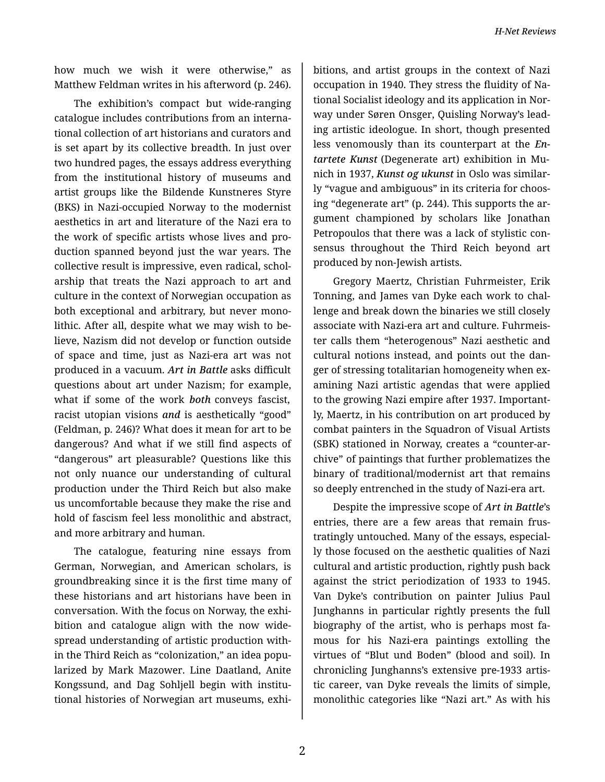how much we wish it were otherwise," as Matthew Feldman writes in his afterword (p. 246).

The exhibition's compact but wide-ranging catalogue includes contributions from an interna‐ tional collection of art historians and curators and is set apart by its collective breadth. In just over two hundred pages, the essays address everything from the institutional history of museums and artist groups like the Bildende Kunstneres Styre (BKS) in Nazi-occupied Norway to the modernist aesthetics in art and literature of the Nazi era to the work of specific artists whose lives and pro‐ duction spanned beyond just the war years. The collective result is impressive, even radical, schol‐ arship that treats the Nazi approach to art and culture in the context of Norwegian occupation as both exceptional and arbitrary, but never mono‐ lithic. After all, despite what we may wish to be‐ lieve, Nazism did not develop or function outside of space and time, just as Nazi-era art was not produced in a vacuum. *Art in Battle* asks difficult questions about art under Nazism; for example, what if some of the work *both* conveys fascist, racist utopian visions *and* is aesthetically "good" (Feldman, p. 246)? What does it mean for art to be dangerous? And what if we still find aspects of "dangerous" art pleasurable? Questions like this not only nuance our understanding of cultural production under the Third Reich but also make us uncomfortable because they make the rise and hold of fascism feel less monolithic and abstract, and more arbitrary and human.

The catalogue, featuring nine essays from German, Norwegian, and American scholars, is groundbreaking since it is the first time many of these historians and art historians have been in conversation. With the focus on Norway, the exhi‐ bition and catalogue align with the now wide‐ spread understanding of artistic production with‐ in the Third Reich as "colonization," an idea popu‐ larized by Mark Mazower. Line Daatland, Anite Kongssund, and Dag Sohljell begin with institu‐ tional histories of Norwegian art museums, exhi‐

bitions, and artist groups in the context of Nazi occupation in 1940. They stress the fluidity of Na‐ tional Socialist ideology and its application in Nor‐ way under Søren Onsger, Quisling Norway's lead‐ ing artistic ideologue. In short, though presented less venomously than its counterpart at the *En‐ tartete Kunst* (Degenerate art) exhibition in Mu‐ nich in 1937, *Kunst og ukunst* in Oslo was similar‐ ly "vague and ambiguous" in its criteria for choos‐ ing "degenerate art" (p. 244). This supports the ar‐ gument championed by scholars like Jonathan Petropoulos that there was a lack of stylistic con‐ sensus throughout the Third Reich beyond art produced by non-Jewish artists.

Gregory Maertz, Christian Fuhrmeister, Erik Tonning, and James van Dyke each work to chal‐ lenge and break down the binaries we still closely associate with Nazi-era art and culture. Fuhrmeis‐ ter calls them "heterogenous" Nazi aesthetic and cultural notions instead, and points out the dan‐ ger of stressing totalitarian homogeneity when ex‐ amining Nazi artistic agendas that were applied to the growing Nazi empire after 1937. Important‐ ly, Maertz, in his contribution on art produced by combat painters in the Squadron of Visual Artists (SBK) stationed in Norway, creates a "counter-ar‐ chive" of paintings that further problematizes the binary of traditional/modernist art that remains so deeply entrenched in the study of Nazi-era art.

Despite the impressive scope of *Art in Battle*'s entries, there are a few areas that remain frus‐ tratingly untouched. Many of the essays, especial‐ ly those focused on the aesthetic qualities of Nazi cultural and artistic production, rightly push back against the strict periodization of 1933 to 1945. Van Dyke's contribution on painter Julius Paul Junghanns in particular rightly presents the full biography of the artist, who is perhaps most fa‐ mous for his Nazi-era paintings extolling the virtues of "Blut und Boden" (blood and soil). In chronicling Junghanns's extensive pre-1933 artis‐ tic career, van Dyke reveals the limits of simple, monolithic categories like "Nazi art." As with his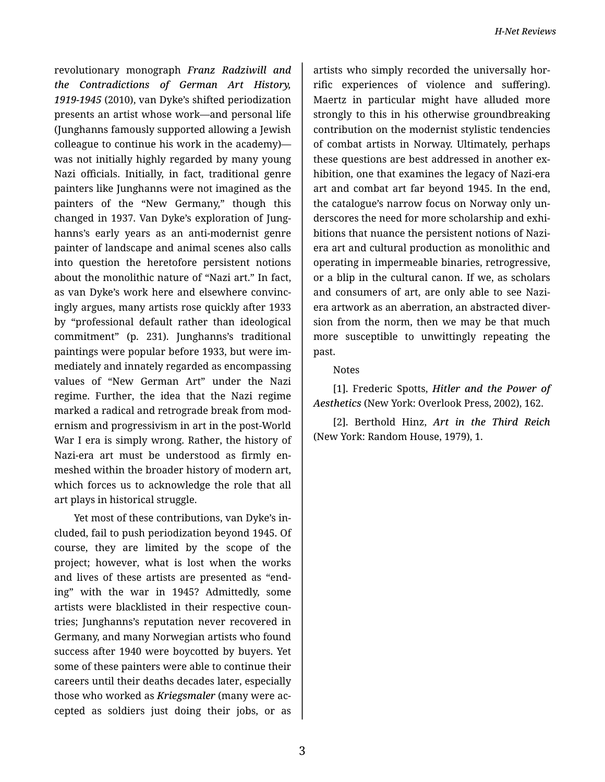revolutionary monograph *Franz Radziwill and the Contradictions of German Art History, 1919-1945* (2010), van Dyke's shifted periodization presents an artist whose work—and personal life (Junghanns famously supported allowing a Jewish colleague to continue his work in the academy) was not initially highly regarded by many young Nazi officials. Initially, in fact, traditional genre painters like Junghanns were not imagined as the painters of the "New Germany," though this changed in 1937. Van Dyke's exploration of Jung‐ hanns's early years as an anti-modernist genre painter of landscape and animal scenes also calls into question the heretofore persistent notions about the monolithic nature of "Nazi art." In fact, as van Dyke's work here and elsewhere convinc‐ ingly argues, many artists rose quickly after 1933 by "professional default rather than ideological commitment" (p. 231). Junghanns's traditional paintings were popular before 1933, but were im‐ mediately and innately regarded as encompassing values of "New German Art" under the Nazi regime. Further, the idea that the Nazi regime marked a radical and retrograde break from mod‐ ernism and progressivism in art in the post-World War I era is simply wrong. Rather, the history of Nazi-era art must be understood as firmly en‐ meshed within the broader history of modern art, which forces us to acknowledge the role that all art plays in historical struggle.

Yet most of these contributions, van Dyke's in‐ cluded, fail to push periodization beyond 1945. Of course, they are limited by the scope of the project; however, what is lost when the works and lives of these artists are presented as "end‐ ing" with the war in 1945? Admittedly, some artists were blacklisted in their respective coun‐ tries; Junghanns's reputation never recovered in Germany, and many Norwegian artists who found success after 1940 were boycotted by buyers. Yet some of these painters were able to continue their careers until their deaths decades later, especially those who worked as *Kriegsmaler* (many were ac‐ cepted as soldiers just doing their jobs, or as

artists who simply recorded the universally hor‐ rific experiences of violence and suffering). Maertz in particular might have alluded more strongly to this in his otherwise groundbreaking contribution on the modernist stylistic tendencies of combat artists in Norway. Ultimately, perhaps these questions are best addressed in another ex‐ hibition, one that examines the legacy of Nazi-era art and combat art far beyond 1945. In the end, the catalogue's narrow focus on Norway only un‐ derscores the need for more scholarship and exhi‐ bitions that nuance the persistent notions of Naziera art and cultural production as monolithic and operating in impermeable binaries, retrogressive, or a blip in the cultural canon. If we, as scholars and consumers of art, are only able to see Naziera artwork as an aberration, an abstracted diver‐ sion from the norm, then we may be that much more susceptible to unwittingly repeating the past.

## Notes

[1]. Frederic Spotts, *Hitler and the Power of Aesthetics* (New York: Overlook Press, 2002), 162.

[2]. Berthold Hinz, *Art in the Third Reich* (New York: Random House, 1979), 1.